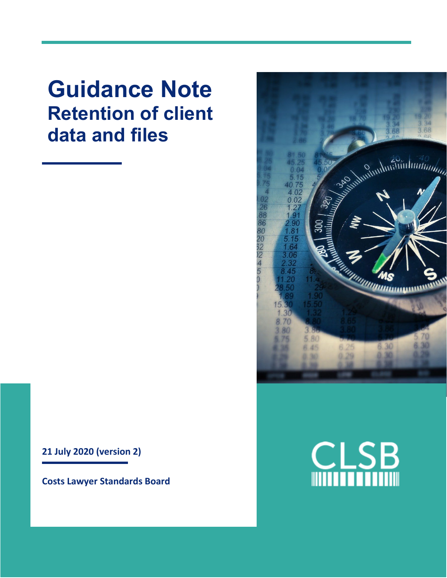**Guidance Note Retention of client data and files**



**Costs Lawyer Standards Board**



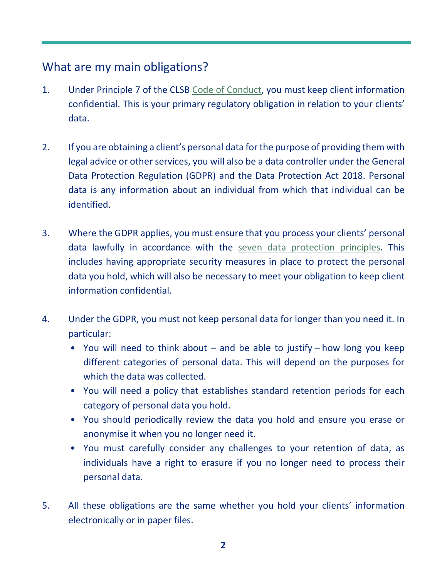### What are my main obligations?

- 1. Under Principle 7 of the CLSB [Code of Conduct,](https://clsb.info/for-costs-lawyers/costs-lawyer-handbook/) you must keep client information confidential. This is your primary regulatory obligation in relation to your clients' data.
- 2. If you are obtaining a client's personal data for the purpose of providing them with legal advice or other services, you will also be a data controller under the General Data Protection Regulation (GDPR) and the Data Protection Act 2018. Personal data is any information about an individual from which that individual can be identified.
- 3. Where the GDPR applies, you must ensure that you process your clients' personal data lawfully in accordance with the [seven data protection principles.](https://ico.org.uk/for-organisations/guide-to-data-protection/guide-to-the-general-data-protection-regulation-gdpr/principles/) This includes having appropriate security measures in place to protect the personal data you hold, which will also be necessary to meet your obligation to keep client information confidential.
- 4. Under the GDPR, you must not keep personal data for longer than you need it. In particular:
	- You will need to think about and be able to justify how long you keep different categories of personal data. This will depend on the purposes for which the data was collected.
	- You will need a policy that establishes standard retention periods for each category of personal data you hold.
	- You should periodically review the data you hold and ensure you erase or anonymise it when you no longer need it.
	- You must carefully consider any challenges to your retention of data, as individuals have a right to erasure if you no longer need to process their personal data.
- 5. All these obligations are the same whether you hold your clients' information electronically or in paper files.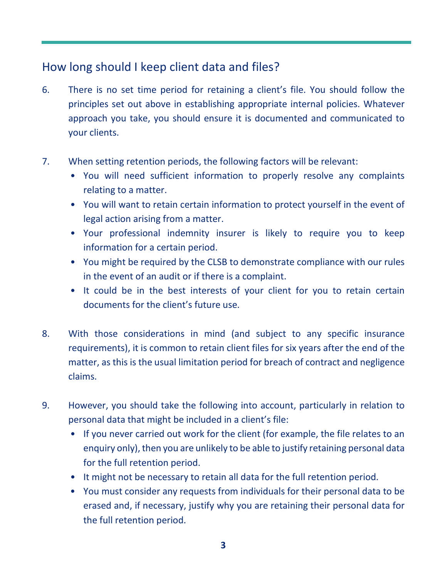# How long should I keep client data and files?

- 6. There is no set time period for retaining a client's file. You should follow the principles set out above in establishing appropriate internal policies. Whatever approach you take, you should ensure it is documented and communicated to your clients.
- 7. When setting retention periods, the following factors will be relevant:
	- You will need sufficient information to properly resolve any complaints relating to a matter.
	- You will want to retain certain information to protect yourself in the event of legal action arising from a matter.
	- Your professional indemnity insurer is likely to require you to keep information for a certain period.
	- You might be required by the CLSB to demonstrate compliance with our rules in the event of an audit or if there is a complaint.
	- It could be in the best interests of your client for you to retain certain documents for the client's future use.
- 8. With those considerations in mind (and subject to any specific insurance requirements), it is common to retain client files for six years after the end of the matter, as this is the usual limitation period for breach of contract and negligence claims.
- 9. However, you should take the following into account, particularly in relation to personal data that might be included in a client's file:
	- If you never carried out work for the client (for example, the file relates to an enquiry only), then you are unlikely to be able to justify retaining personal data for the full retention period.
	- It might not be necessary to retain all data for the full retention period.
	- You must consider any requests from individuals for their personal data to be erased and, if necessary, justify why you are retaining their personal data for the full retention period.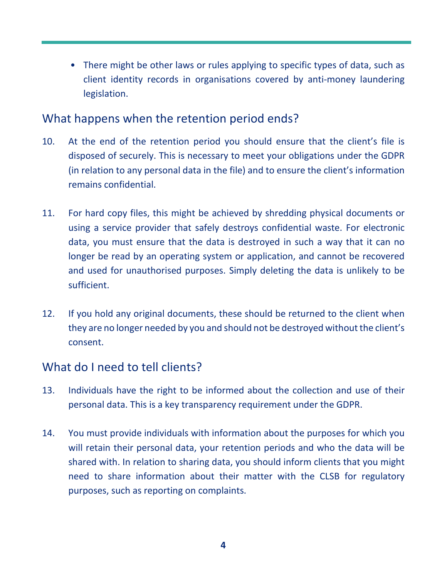• There might be other laws or rules applying to specific types of data, such as client identity records in organisations covered by anti-money laundering legislation.

#### What happens when the retention period ends?

- 10. At the end of the retention period you should ensure that the client's file is disposed of securely. This is necessary to meet your obligations under the GDPR (in relation to any personal data in the file) and to ensure the client's information remains confidential.
- 11. For hard copy files, this might be achieved by shredding physical documents or using a service provider that safely destroys confidential waste. For electronic data, you must ensure that the data is destroyed in such a way that it can no longer be read by an operating system or application, and cannot be recovered and used for unauthorised purposes. Simply deleting the data is unlikely to be sufficient.
- 12. If you hold any original documents, these should be returned to the client when they are no longer needed by you and should not be destroyed without the client's consent.

# What do I need to tell clients?

- 13. Individuals have the right to be informed about the collection and use of their personal data. This is a key transparency requirement under the GDPR.
- 14. You must provide individuals with information about the purposes for which you will retain their personal data, your retention periods and who the data will be shared with. In relation to sharing data, you should inform clients that you might need to share information about their matter with the CLSB for regulatory purposes, such as reporting on complaints.